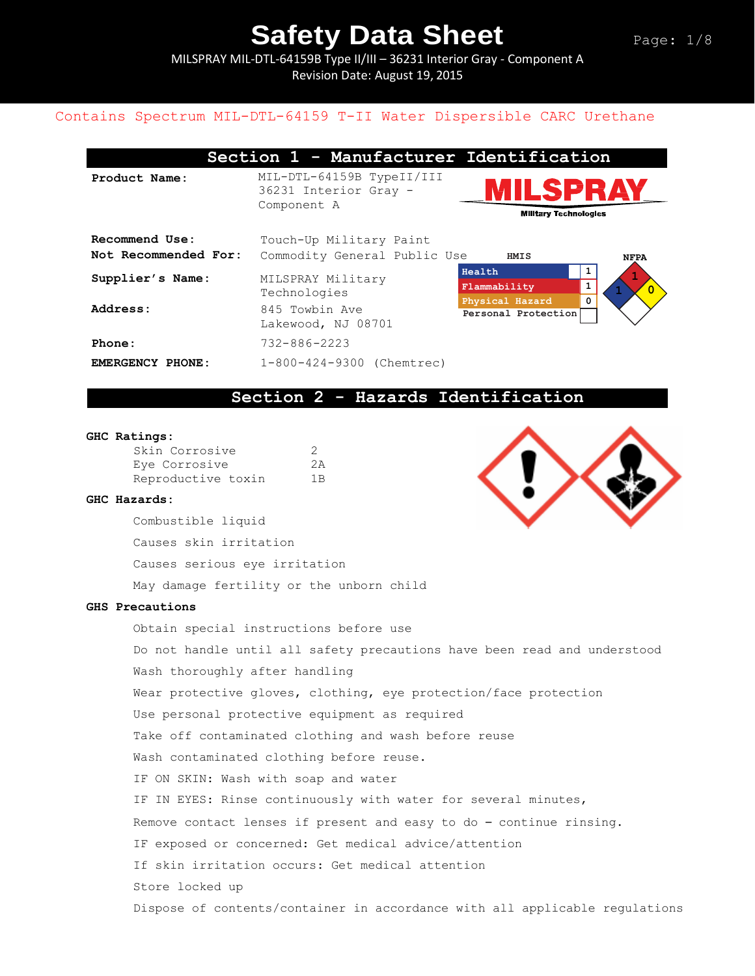MILSPRAY MIL-DTL-64159B Type II/III – 36231 Interior Gray - Component A Revision Date: August 19, 2015

## Contains Spectrum MIL-DTL-64159 T-II Water Dispersible CARC Urethane

|                                        | Section 1 - Manufacturer Identification                           |                                           |               |
|----------------------------------------|-------------------------------------------------------------------|-------------------------------------------|---------------|
| Product Name:                          | MIL-DTL-64159B TypeII/III<br>36231 Interior Gray -<br>Component A | <b>Military Technologies</b>              | LSPRAY        |
| Recommend Use:<br>Not Recommended For: | Touch-Up Military Paint<br>Commodity General Public Use           | HMIS                                      | <b>NFPA</b>   |
| Supplier's Name:                       | MILSPRAY Military<br>Technologies                                 | Health<br>Flammability<br>Physical Hazard | 1<br>$\Omega$ |
| Address:                               | 845 Towbin Ave<br>Lakewood, NJ 08701                              | Personal Protection                       |               |
| Phone:                                 | $732 - 886 - 2223$                                                |                                           |               |
| EMERGENCY PHONE:                       | 1-800-424-9300 (Chemtrec)                                         |                                           |               |

## **Section 2 - Hazards Identification**

#### **GHC Ratings:**

| Skin Corrosive     | 2              |
|--------------------|----------------|
| Eye Corrosive      | 2A             |
| Reproductive toxin | 1 <sub>B</sub> |

#### **GHC Hazards:**

Combustible liquid

Causes skin irritation

Causes serious eye irritation

May damage fertility or the unborn child

#### **GHS Precautions**

Obtain special instructions before use

Do not handle until all safety precautions have been read and understood Wash thoroughly after handling

Wear protective gloves, clothing, eye protection/face protection

Use personal protective equipment as required

Take off contaminated clothing and wash before reuse

Wash contaminated clothing before reuse.

IF ON SKIN: Wash with soap and water

IF IN EYES: Rinse continuously with water for several minutes,

Remove contact lenses if present and easy to do – continue rinsing.

IF exposed or concerned: Get medical advice/attention

If skin irritation occurs: Get medical attention

Store locked up

Dispose of contents/container in accordance with all applicable regulations

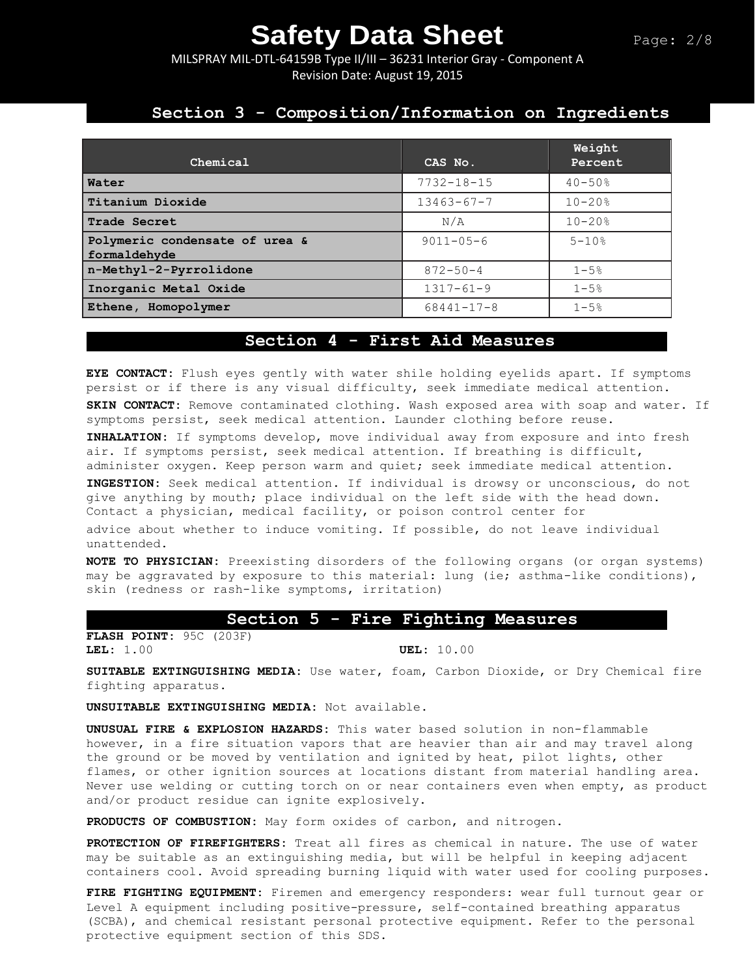MILSPRAY MIL-DTL-64159B Type II/III – 36231 Interior Gray - Component A Revision Date: August 19, 2015

### **Section 3 - Composition/Information on Ingredients**

| Chemical                                       | CAS No.          | Weight<br>Percent |
|------------------------------------------------|------------------|-------------------|
| Water                                          | $7732 - 18 - 15$ | $40 - 50%$        |
| Titanium Dioxide                               | $13463 - 67 - 7$ | $10 - 20$ %       |
| <b>Trade Secret</b>                            | N/A              | $10 - 20%$        |
| Polymeric condensate of urea &<br>formaldehyde | $9011 - 05 - 6$  | $5 - 10$ %        |
| n-Methyl-2-Pyrrolidone                         | $872 - 50 - 4$   | $1 - 5%$          |
| Inorganic Metal Oxide                          | $1317 - 61 - 9$  | $1 - 5%$          |
| Ethene, Homopolymer                            | $68441 - 17 - 8$ | $1 - 5%$          |

#### **Section 4 - First Aid Measures**

**EYE CONTACT:** Flush eyes gently with water shile holding eyelids apart. If symptoms persist or if there is any visual difficulty, seek immediate medical attention. **SKIN CONTACT:** Remove contaminated clothing. Wash exposed area with soap and water. If symptoms persist, seek medical attention. Launder clothing before reuse.

**INHALATION:** If symptoms develop, move individual away from exposure and into fresh air. If symptoms persist, seek medical attention. If breathing is difficult, administer oxygen. Keep person warm and quiet; seek immediate medical attention.

**INGESTION:** Seek medical attention. If individual is drowsy or unconscious, do not give anything by mouth; place individual on the left side with the head down. Contact a physician, medical facility, or poison control center for advice about whether to induce vomiting. If possible, do not leave individual unattended.

**NOTE TO PHYSICIAN:** Preexisting disorders of the following organs (or organ systems) may be aggravated by exposure to this material: lung (ie; asthma-like conditions), skin (redness or rash-like symptoms, irritation)

#### **Section 5 - Fire Fighting Measures**

**FLASH POINT:** 95C (203F) **LEL:** 1.00 **UEL:** 10.00

**SUITABLE EXTINGUISHING MEDIA:** Use water, foam, Carbon Dioxide, or Dry Chemical fire fighting apparatus.

**UNSUITABLE EXTINGUISHING MEDIA:** Not available.

**UNUSUAL FIRE & EXPLOSION HAZARDS:** This water based solution in non-flammable however, in a fire situation vapors that are heavier than air and may travel along the ground or be moved by ventilation and ignited by heat, pilot lights, other flames, or other ignition sources at locations distant from material handling area. Never use welding or cutting torch on or near containers even when empty, as product and/or product residue can ignite explosively.

**PRODUCTS OF COMBUSTION:** May form oxides of carbon, and nitrogen.

**PROTECTION OF FIREFIGHTERS:** Treat all fires as chemical in nature. The use of water may be suitable as an extinguishing media, but will be helpful in keeping adjacent containers cool. Avoid spreading burning liquid with water used for cooling purposes.

**FIRE FIGHTING EQUIPMENT:** Firemen and emergency responders: wear full turnout gear or Level A equipment including positive-pressure, self-contained breathing apparatus (SCBA), and chemical resistant personal protective equipment. Refer to the personal protective equipment section of this SDS.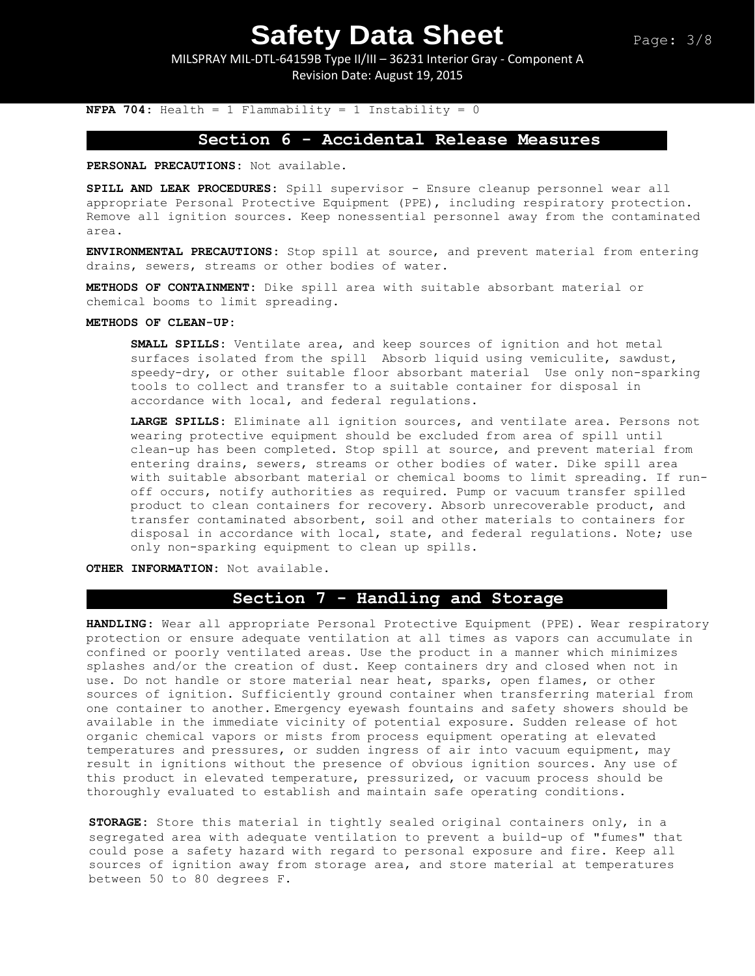MILSPRAY MIL-DTL-64159B Type II/III – 36231 Interior Gray - Component A Revision Date: August 19, 2015

**NFPA 704:** Health = 1 Flammability = 1 Instability = 0

## **Section 6 - Accidental Release Measures**

**PERSONAL PRECAUTIONS:** Not available.

**SPILL AND LEAK PROCEDURES:** Spill supervisor - Ensure cleanup personnel wear all appropriate Personal Protective Equipment (PPE), including respiratory protection. Remove all ignition sources. Keep nonessential personnel away from the contaminated area.

**ENVIRONMENTAL PRECAUTIONS:** Stop spill at source, and prevent material from entering drains, sewers, streams or other bodies of water.

**METHODS OF CONTAINMENT:** Dike spill area with suitable absorbant material or chemical booms to limit spreading.

**METHODS OF CLEAN-UP:**

**SMALL SPILLS:** Ventilate area, and keep sources of ignition and hot metal surfaces isolated from the spill Absorb liquid using vemiculite, sawdust, speedy-dry, or other suitable floor absorbant material Use only non-sparking tools to collect and transfer to a suitable container for disposal in accordance with local, and federal regulations.

**LARGE SPILLS:** Eliminate all ignition sources, and ventilate area. Persons not wearing protective equipment should be excluded from area of spill until clean-up has been completed. Stop spill at source, and prevent material from entering drains, sewers, streams or other bodies of water. Dike spill area with suitable absorbant material or chemical booms to limit spreading. If runoff occurs, notify authorities as required. Pump or vacuum transfer spilled product to clean containers for recovery. Absorb unrecoverable product, and transfer contaminated absorbent, soil and other materials to containers for disposal in accordance with local, state, and federal regulations. Note; use only non-sparking equipment to clean up spills.

**OTHER INFORMATION:** Not available.

#### **Section 7 - Handling and Storage**

**HANDLING**: Wear all appropriate Personal Protective Equipment (PPE). Wear respiratory protection or ensure adequate ventilation at all times as vapors can accumulate in confined or poorly ventilated areas. Use the product in a manner which minimizes splashes and/or the creation of dust. Keep containers dry and closed when not in use. Do not handle or store material near heat, sparks, open flames, or other sources of ignition. Sufficiently ground container when transferring material from one container to another. Emergency eyewash fountains and safety showers should be available in the immediate vicinity of potential exposure. Sudden release of hot organic chemical vapors or mists from process equipment operating at elevated temperatures and pressures, or sudden ingress of air into vacuum equipment, may result in ignitions without the presence of obvious ignition sources. Any use of this product in elevated temperature, pressurized, or vacuum process should be thoroughly evaluated to establish and maintain safe operating conditions.

**STORAGE:** Store this material in tightly sealed original containers only, in a segregated area with adequate ventilation to prevent a build-up of "fumes" that could pose a safety hazard with regard to personal exposure and fire. Keep all sources of ignition away from storage area, and store material at temperatures between 50 to 80 degrees F.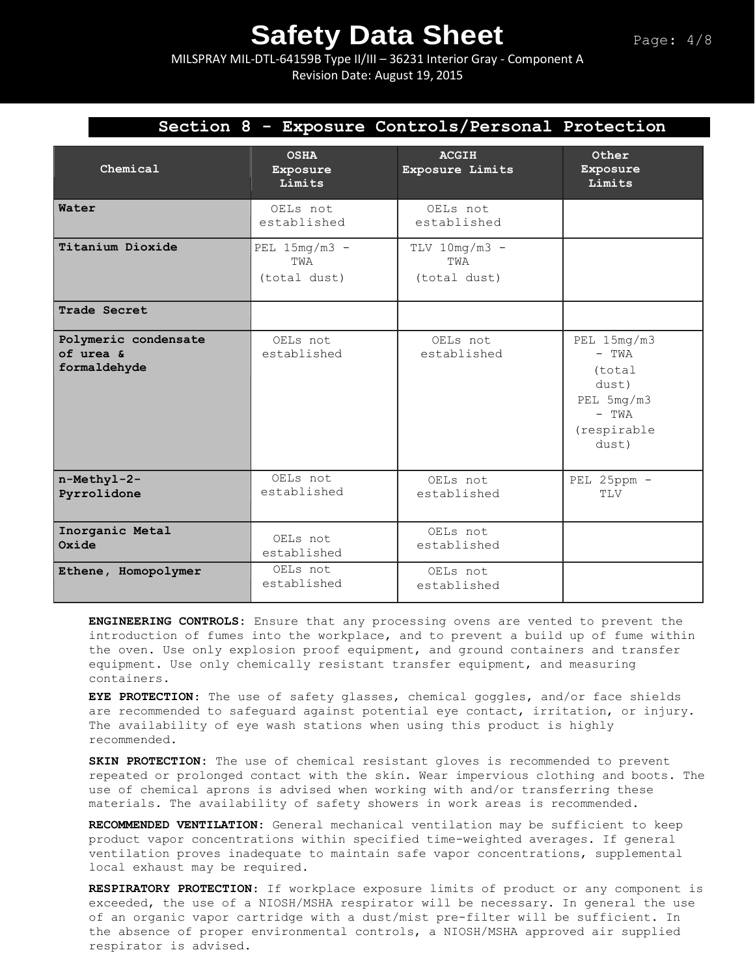MILSPRAY MIL-DTL-64159B Type II/III – 36231 Interior Gray - Component A Revision Date: August 19, 2015

| Section 8 - Exposure Controls/Personal Protection |                                        |                                        |                                                                                              |  |
|---------------------------------------------------|----------------------------------------|----------------------------------------|----------------------------------------------------------------------------------------------|--|
| Chemical                                          | <b>OSHA</b><br>Exposure<br>Limits      | <b>ACGIH</b><br>Exposure Limits        | Other<br>Exposure<br>Limits                                                                  |  |
| Water                                             | OELs not<br>established                | OELs not<br>established                |                                                                                              |  |
| Titanium Dioxide                                  | PEL $15mg/m3$ -<br>TWA<br>(total dust) | $TLV$ 10mg/m3 -<br>TWA<br>(total dust) |                                                                                              |  |
| Trade Secret                                      |                                        |                                        |                                                                                              |  |
| Polymeric condensate<br>of urea &<br>formaldehyde | OELs not<br>established                | OELs not<br>established                | $PEL$ 15mg/m3<br>$-$ TWA<br>(total<br>dust)<br>PEL 5mg/m3<br>$-$ TWA<br>(respirable<br>dust) |  |
| n-Methyl-2-<br>Pyrrolidone                        | OELs not<br>established                | OELs not<br>established                | PEL 25ppm -<br>TLV                                                                           |  |
| Inorganic Metal<br>Oxide                          | OELs not<br>established                | OELs not<br>established                |                                                                                              |  |
| Ethene, Homopolymer                               | OELs not<br>established                | OELs not<br>established                |                                                                                              |  |

**ENGINEERING CONTROLS:** Ensure that any processing ovens are vented to prevent the introduction of fumes into the workplace, and to prevent a build up of fume within the oven. Use only explosion proof equipment, and ground containers and transfer equipment. Use only chemically resistant transfer equipment, and measuring containers.

**EYE PROTECTION**: The use of safety glasses, chemical goggles, and/or face shields are recommended to safeguard against potential eye contact, irritation, or injury. The availability of eye wash stations when using this product is highly recommended.

**SKIN PROTECTION:** The use of chemical resistant gloves is recommended to prevent repeated or prolonged contact with the skin. Wear impervious clothing and boots. The use of chemical aprons is advised when working with and/or transferring these materials. The availability of safety showers in work areas is recommended**.** 

**RECOMMENDED VENTILATION:** General mechanical ventilation may be sufficient to keep product vapor concentrations within specified time-weighted averages. If general ventilation proves inadequate to maintain safe vapor concentrations, supplemental local exhaust may be required.

**RESPIRATORY PROTECTION**: If workplace exposure limits of product or any component is exceeded, the use of a NIOSH/MSHA respirator will be necessary. In general the use of an organic vapor cartridge with a dust/mist pre-filter will be sufficient. In the absence of proper environmental controls, a NIOSH/MSHA approved air supplied respirator is advised.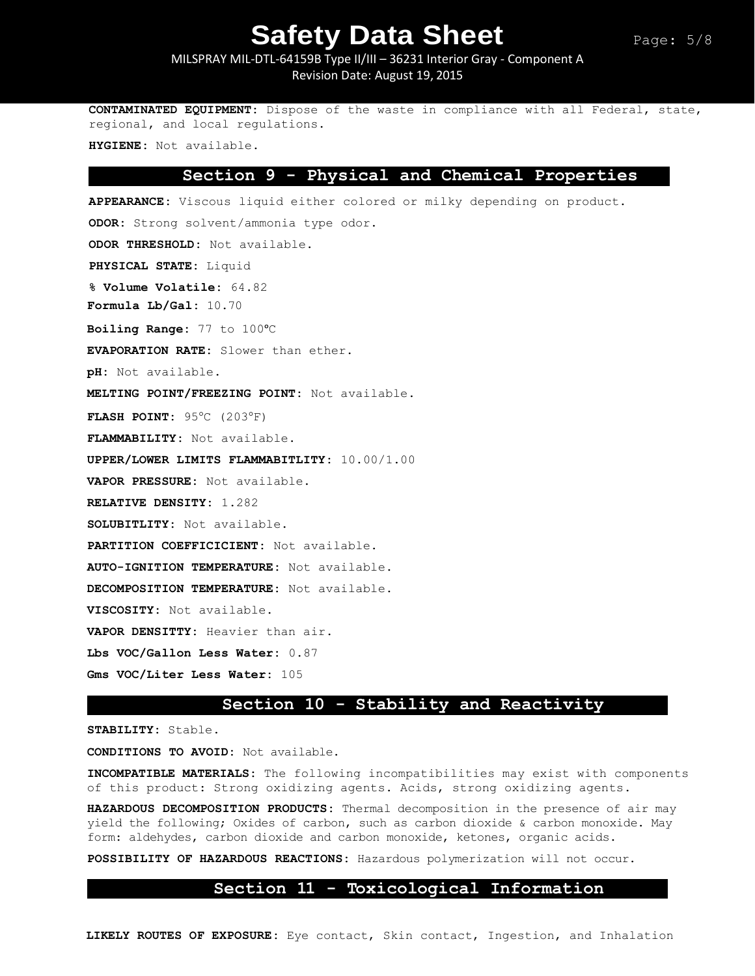#### MILSPRAY MIL-DTL-64159B Type II/III – 36231 Interior Gray - Component A Revision Date: August 19, 2015

**CONTAMINATED EQUIPMENT:** Dispose of the waste in compliance with all Federal, state, regional, and local regulations.

**HYGIENE:** Not available.

#### **Section 9 - Physical and Chemical Properties**

**APPEARANCE:** Viscous liquid either colored or milky depending on product. **ODOR:** Strong solvent/ammonia type odor. **ODOR THRESHOLD:** Not available. **PHYSICAL STATE:** Liquid **% Volume Volatile:** 64.82 **Formula Lb/Gal:** 10.70 **Boiling Range:** 77 to 100°C **EVAPORATION RATE:** Slower than ether. **pH:** Not available. **MELTING POINT/FREEZING POINT:** Not available. **FLASH POINT: 95°C (203°F) FLAMMABILITY:** Not available. **UPPER/LOWER LIMITS FLAMMABITLITY:** 10.00/1.00 **VAPOR PRESSURE:** Not available. **RELATIVE DENSITY:** 1.282 **SOLUBITLITY:** Not available. **PARTITION COEFFICICIENT:** Not available. **AUTO-IGNITION TEMPERATURE:** Not available. **DECOMPOSITION TEMPERATURE:** Not available. **VISCOSITY:** Not available. **VAPOR DENSITTY:** Heavier than air. **Lbs VOC/Gallon Less Water:** 0.87 **Gms VOC/Liter Less Water:** 105

#### **Section 10 - Stability and Reactivity**

**STABILITY:** Stable.

**CONDITIONS TO AVOID:** Not available.

**INCOMPATIBLE MATERIALS:** The following incompatibilities may exist with components of this product: Strong oxidizing agents. Acids, strong oxidizing agents.

**HAZARDOUS DECOMPOSITION PRODUCTS:** Thermal decomposition in the presence of air may yield the following; Oxides of carbon, such as carbon dioxide & carbon monoxide. May form: aldehydes, carbon dioxide and carbon monoxide, ketones, organic acids.

**POSSIBILITY OF HAZARDOUS REACTIONS:** Hazardous polymerization will not occur.

#### **Section 11 - Toxicological Information**

**LIKELY ROUTES OF EXPOSURE:** Eye contact, Skin contact, Ingestion, and Inhalation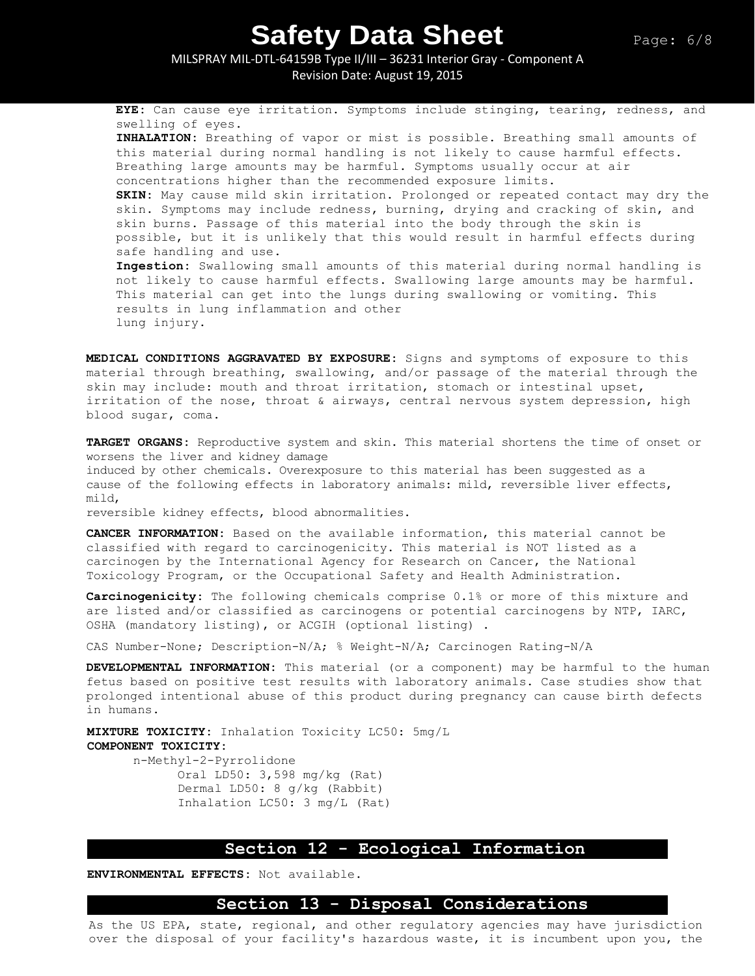MILSPRAY MIL-DTL-64159B Type II/III – 36231 Interior Gray - Component A Revision Date: August 19, 2015

**EYE:** Can cause eye irritation. Symptoms include stinging, tearing, redness, and swelling of eyes. **INHALATION:** Breathing of vapor or mist is possible. Breathing small amounts of this material during normal handling is not likely to cause harmful effects. Breathing large amounts may be harmful. Symptoms usually occur at air concentrations higher than the recommended exposure limits. **SKIN:** May cause mild skin irritation. Prolonged or repeated contact may dry the skin. Symptoms may include redness, burning, drying and cracking of skin, and skin burns. Passage of this material into the body through the skin is possible, but it is unlikely that this would result in harmful effects during safe handling and use. **Ingestion:** Swallowing small amounts of this material during normal handling is not likely to cause harmful effects. Swallowing large amounts may be harmful. This material can get into the lungs during swallowing or vomiting. This results in lung inflammation and other lung injury.

**MEDICAL CONDITIONS AGGRAVATED BY EXPOSURE:** Signs and symptoms of exposure to this material through breathing, swallowing, and/or passage of the material through the skin may include: mouth and throat irritation, stomach or intestinal upset, irritation of the nose, throat & airways, central nervous system depression, high blood sugar, coma.

**TARGET ORGANS:** Reproductive system and skin. This material shortens the time of onset or worsens the liver and kidney damage induced by other chemicals. Overexposure to this material has been suggested as a

cause of the following effects in laboratory animals: mild, reversible liver effects, mild,

reversible kidney effects, blood abnormalities.

**CANCER INFORMATION:** Based on the available information, this material cannot be classified with regard to carcinogenicity. This material is NOT listed as a carcinogen by the International Agency for Research on Cancer, the National Toxicology Program, or the Occupational Safety and Health Administration.

**Carcinogenicity:** The following chemicals comprise 0.1% or more of this mixture and are listed and/or classified as carcinogens or potential carcinogens by NTP, IARC, OSHA (mandatory listing), or ACGIH (optional listing) .

CAS Number-None; Description-N/A; % Weight-N/A; Carcinogen Rating-N/A

**DEVELOPMENTAL INFORMATION:** This material (or a component) may be harmful to the human fetus based on positive test results with laboratory animals. Case studies show that prolonged intentional abuse of this product during pregnancy can cause birth defects in humans.

**MIXTURE TOXICITY:** Inhalation Toxicity LC50: 5mg/L **COMPONENT TOXICITY:** n-Methyl-2-Pyrrolidone Oral LD50: 3,598 mg/kg (Rat) Dermal LD50: 8 g/kg (Rabbit) Inhalation LC50: 3 mg/L (Rat)

#### **Section 12 - Ecological Information**

**ENVIRONMENTAL EFFECTS:** Not available.

#### **Section 13 - Disposal Considerations**

As the US EPA, state, regional, and other regulatory agencies may have jurisdiction over the disposal of your facility's hazardous waste, it is incumbent upon you, the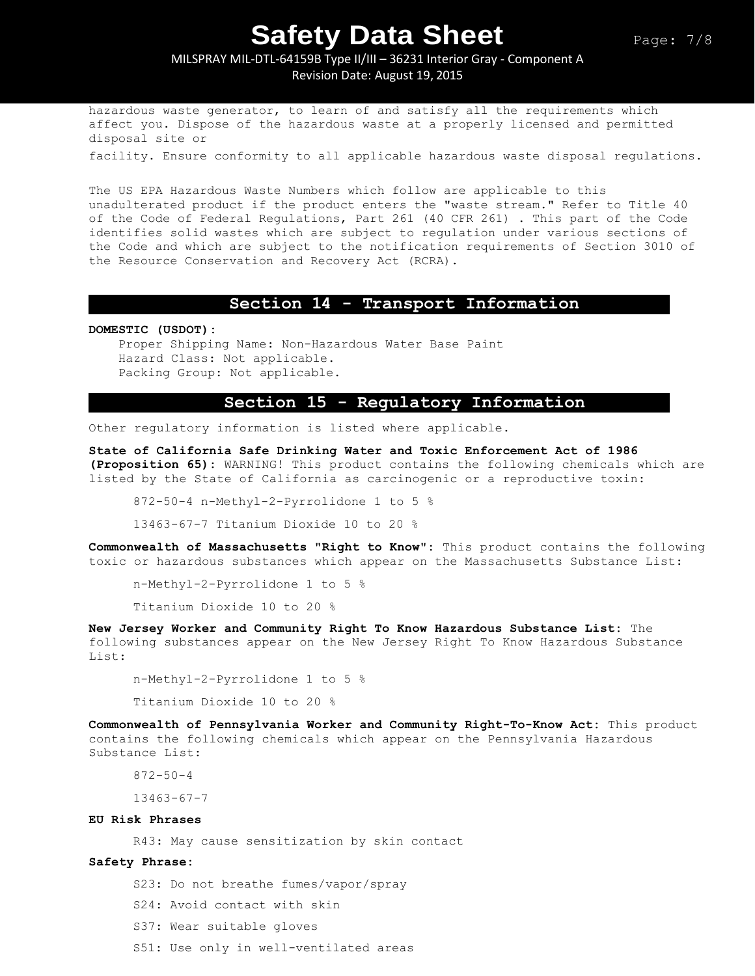#### MILSPRAY MIL-DTL-64159B Type II/III – 36231 Interior Gray - Component A Revision Date: August 19, 2015

hazardous waste generator, to learn of and satisfy all the requirements which affect you. Dispose of the hazardous waste at a properly licensed and permitted disposal site or

facility. Ensure conformity to all applicable hazardous waste disposal regulations.

The US EPA Hazardous Waste Numbers which follow are applicable to this unadulterated product if the product enters the "waste stream." Refer to Title 40 of the Code of Federal Regulations, Part 261 (40 CFR 261) . This part of the Code identifies solid wastes which are subject to regulation under various sections of the Code and which are subject to the notification requirements of Section 3010 of the Resource Conservation and Recovery Act (RCRA).

#### **Section 14 - Transport Information**

**DOMESTIC (USDOT):**

Proper Shipping Name: Non-Hazardous Water Base Paint Hazard Class: Not applicable. Packing Group: Not applicable.

#### **Section 15 - Regulatory Information**

Other regulatory information is listed where applicable.

**State of California Safe Drinking Water and Toxic Enforcement Act of 1986 (Proposition 65):** WARNING! This product contains the following chemicals which are listed by the State of California as carcinogenic or a reproductive toxin:

872-50-4 n-Methyl-2-Pyrrolidone 1 to 5 %

13463-67-7 Titanium Dioxide 10 to 20 %

**Commonwealth of Massachusetts "Right to Know":** This product contains the following toxic or hazardous substances which appear on the Massachusetts Substance List:

n-Methyl-2-Pyrrolidone 1 to 5 %

Titanium Dioxide 10 to 20 %

**New Jersey Worker and Community Right To Know Hazardous Substance List:** The following substances appear on the New Jersey Right To Know Hazardous Substance List:

n-Methyl-2-Pyrrolidone 1 to 5 %

Titanium Dioxide 10 to 20 %

**Commonwealth of Pennsylvania Worker and Community Right-To-Know Act:** This product contains the following chemicals which appear on the Pennsylvania Hazardous Substance List:

872-50-4

13463-67-7

#### **EU Risk Phrases**

R43: May cause sensitization by skin contact

#### **Safety Phrase:**

S23: Do not breathe fumes/vapor/spray

- S24: Avoid contact with skin
- S37: Wear suitable gloves
- S51: Use only in well-ventilated areas